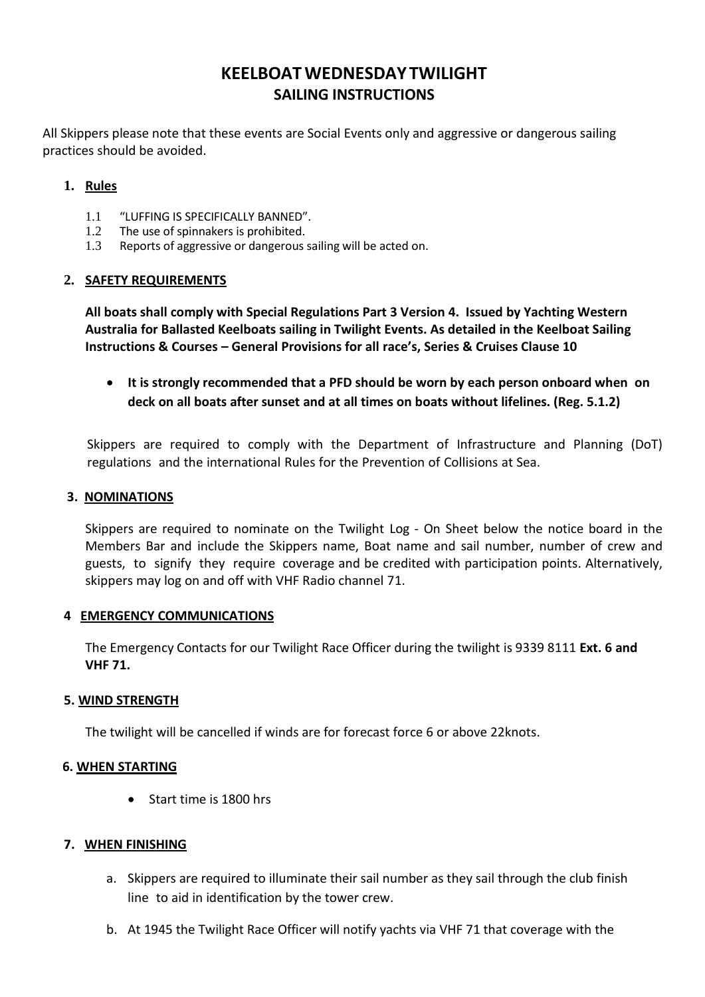# **KEELBOATWEDNESDAY TWILIGHT SAILING INSTRUCTIONS**

All Skippers please note that these events are Social Events only and aggressive or dangerous sailing practices should be avoided.

## **1. Rules**

- 1.1 "LUFFING IS SPECIFICALLY BANNED".<br>1.2 The use of sninnakers is probibited
- 1.2 The use of spinnakers is prohibited.<br>1.3 Reports of aggressive or dangerous s
- Reports of aggressive or dangerous sailing will be acted on.

### **2. SAFETY REQUIREMENTS**

**All boats shall comply with Special Regulations Part 3 Version 4. Issued by Yachting Western Australia for Ballasted Keelboats sailing in Twilight Events. As detailed in the Keelboat Sailing Instructions & Courses – General Provisions for all race's, Series & Cruises Clause 10**

• **It is strongly recommended that a PFD should be worn by each person onboard when on deck on all boats after sunset and at all times on boats without lifelines. (Reg. 5.1.2)**

Skippers are required to comply with the Department of Infrastructure and Planning (DoT) regulations and the international Rules for the Prevention of Collisions at Sea.

#### **3. NOMINATIONS**

Skippers are required to nominate on the Twilight Log - On Sheet below the notice board in the Members Bar and include the Skippers name, Boat name and sail number, number of crew and guests, to signify they require coverage and be credited with participation points. Alternatively, skippers may log on and off with VHF Radio channel 71.

### **4 EMERGENCY COMMUNICATIONS**

The Emergency Contacts for our Twilight Race Officer during the twilight is 9339 8111 **Ext. 6 and VHF 71.**

### **5. WIND STRENGTH**

The twilight will be cancelled if winds are for forecast force 6 or above 22knots.

### **6. WHEN STARTING**

• Start time is 1800 hrs

### **7. WHEN FINISHING**

- a. Skippers are required to illuminate their sail number as they sail through the club finish line to aid in identification by the tower crew.
- b. At 1945 the Twilight Race Officer will notify yachts via VHF 71 that coverage with the